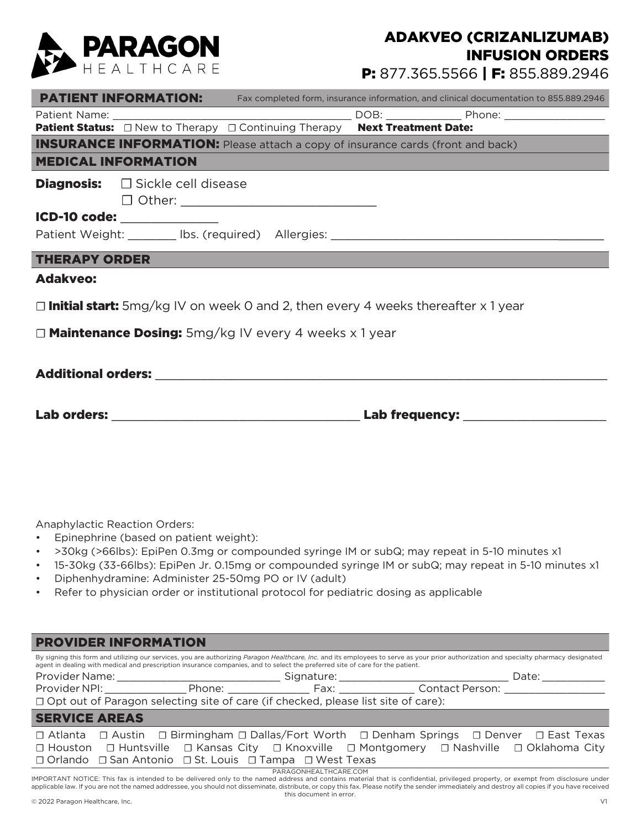

## ADAKVEO (CRIZANLIZUMAB) INFUSION ORDERS

P: 877.365.5566 | F: 855.889.2946

|                                                                                                |                                              |                                                                                        |  | <b>PATIENT INFORMATION:</b> Fax completed form, insurance information, and clinical documentation to 855.889.2946 |  |  |  |  |
|------------------------------------------------------------------------------------------------|----------------------------------------------|----------------------------------------------------------------------------------------|--|-------------------------------------------------------------------------------------------------------------------|--|--|--|--|
|                                                                                                |                                              |                                                                                        |  |                                                                                                                   |  |  |  |  |
|                                                                                                |                                              |                                                                                        |  |                                                                                                                   |  |  |  |  |
|                                                                                                |                                              | <b>INSURANCE INFORMATION:</b> Please attach a copy of insurance cards (front and back) |  |                                                                                                                   |  |  |  |  |
| <b>MEDICAL INFORMATION</b>                                                                     |                                              |                                                                                        |  |                                                                                                                   |  |  |  |  |
|                                                                                                | Diagnosis: <b>Disamble 2016</b> Cell disease |                                                                                        |  |                                                                                                                   |  |  |  |  |
| ICD-10 code: _______________                                                                   |                                              |                                                                                        |  |                                                                                                                   |  |  |  |  |
|                                                                                                |                                              |                                                                                        |  |                                                                                                                   |  |  |  |  |
| <b>THERAPY ORDER</b><br><u> 1989 - Jan James James Barnett, amerikansk politiker (d. 1989)</u> |                                              |                                                                                        |  |                                                                                                                   |  |  |  |  |
| <b>Adakveo:</b>                                                                                |                                              |                                                                                        |  |                                                                                                                   |  |  |  |  |
| $\Box$ Initial start: 5mg/kg IV on week 0 and 2, then every 4 weeks thereafter x 1 year        |                                              |                                                                                        |  |                                                                                                                   |  |  |  |  |
| □ <b>Maintenance Dosing:</b> 5mg/kg IV every 4 weeks x 1 year                                  |                                              |                                                                                        |  |                                                                                                                   |  |  |  |  |
|                                                                                                |                                              |                                                                                        |  |                                                                                                                   |  |  |  |  |
|                                                                                                |                                              |                                                                                        |  |                                                                                                                   |  |  |  |  |
|                                                                                                |                                              |                                                                                        |  |                                                                                                                   |  |  |  |  |
|                                                                                                |                                              |                                                                                        |  |                                                                                                                   |  |  |  |  |
|                                                                                                |                                              |                                                                                        |  |                                                                                                                   |  |  |  |  |
|                                                                                                |                                              |                                                                                        |  |                                                                                                                   |  |  |  |  |
|                                                                                                |                                              |                                                                                        |  |                                                                                                                   |  |  |  |  |

Anaphylactic Reaction Orders:

- Epinephrine (based on patient weight):
- >30kg (>66lbs): EpiPen 0.3mg or compounded syringe IM or subQ; may repeat in 5-10 minutes x1
- 15-30kg (33-66lbs): EpiPen Jr. 0.15mg or compounded syringe IM or subQ; may repeat in 5-10 minutes x1
- Diphenhydramine: Administer 25-50mg PO or IV (adult)
- Refer to physician order or institutional protocol for pediatric dosing as applicable

| <b>PROVIDER INFORMATION</b>                                                                                                                                                                                                                                                                                             |  |                     |  |  |  |  |  |  |
|-------------------------------------------------------------------------------------------------------------------------------------------------------------------------------------------------------------------------------------------------------------------------------------------------------------------------|--|---------------------|--|--|--|--|--|--|
| By signing this form and utilizing our services, you are authorizing Paragon Healthcare, Inc. and its employees to serve as your prior authorization and specialty pharmacy designated<br>agent in dealing with medical and prescription insurance companies, and to select the preferred site of care for the patient. |  |                     |  |  |  |  |  |  |
|                                                                                                                                                                                                                                                                                                                         |  | Date: _____________ |  |  |  |  |  |  |
|                                                                                                                                                                                                                                                                                                                         |  |                     |  |  |  |  |  |  |
| □ Opt out of Paragon selecting site of care (if checked, please list site of care):                                                                                                                                                                                                                                     |  |                     |  |  |  |  |  |  |
| <b>SERVICE AREAS</b>                                                                                                                                                                                                                                                                                                    |  |                     |  |  |  |  |  |  |
| □ Atlanta □ Austin □ Birmingham □ Dallas/Fort Worth □ Denham Springs □ Denver □ East Texas                                                                                                                                                                                                                              |  |                     |  |  |  |  |  |  |
| □ Houston □ Huntsville □ Kansas City □ Knoxville □ Montgomery □ Nashville □ Oklahoma City                                                                                                                                                                                                                               |  |                     |  |  |  |  |  |  |
| $\Box$ Orlando $\Box$ San Antonio $\Box$ St. Louis $\Box$ Tampa $\Box$ West Texas                                                                                                                                                                                                                                       |  |                     |  |  |  |  |  |  |
| PARAGONHEALTHCARE.COM                                                                                                                                                                                                                                                                                                   |  |                     |  |  |  |  |  |  |

PARAGONHEALTHCARE.COM<br>IMPORTANT NOTICE: This fax is intended to be delivered only to the named address and contains material that is confidential, privileged property, or exempt from disclosure under applicable law. If you are not the named addressee, you should not disseminate, distribute, or copy this fax. Please notify the sender immediately and destroy all copies if you have received this document in error.